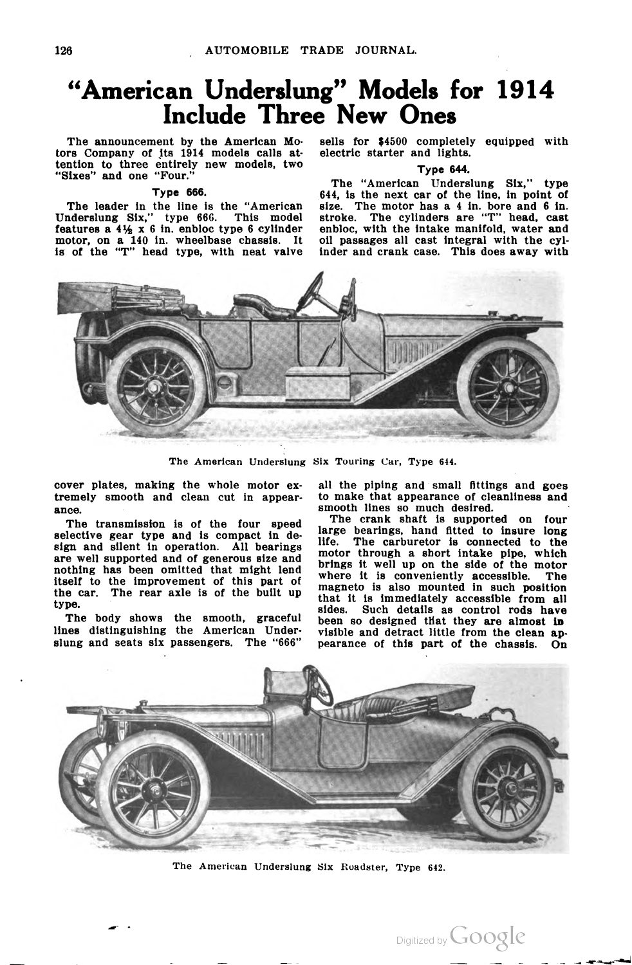# "American Underslung" Models for 1914 an Understung Models<br>Include Three New Ones

The announcement by the American Mo The announcement by the American models calls at tention to three entirely new models, two "Sixes" and one "Four."

## Type 666.

The leader in the line is the "American Underslung Six," type 666. This model<br>features a 4% x 6 in. enbloc type 6 cylinder motor, on a 140 in. wheelbase chassis. It is of the "T" head type, with neat valve sells for \$4500 completely equipped with electric starter and lights.

Type 644.

The "American Underslung Six," type 644, is the next car of the line. in point of size. The motor has a <sup>4</sup> in. bore and 6 in. stroke. The motor has a 1 m. bore and 5 m. enbloc, with the intake manifold, water and oil passages all cast integral with the cyl inder and crank case. This does away with



The American Underslung Six Touring Car, Type 644.

cover plates, making the whole motor ex- all the piping and small fittings and goes tremely smooth and clean cut in appear ance.

The transmission is of the four speed selective gear type and is compact in design and silent in operation. All bearings are well supported and of generous size and nothing has been omitted that might lend itself to the improvement of this part of the car. The rear axle is of the built up type.

The body shows the smooth, graceful lines distinguishing the American Under slung and seats six passengers. The "666" smooth lines so much desired. to make that appearance of cleanliness and

The crank shaft is supported on four large bearings, hand fitted to insure long life. The carburetor is connected to the motor through a short intake pipe, which brings it well up on the side of the motor where it is conveniently accessible. The magneto is also mounted in such position that it is immediately accessible from all sides. Such details as control rods have been so designed that they are almost in visible and detract little from the clean ap pearance of this part of the chassis. On

Digitized by Google



The American Underslung Six Roadster, Type 642.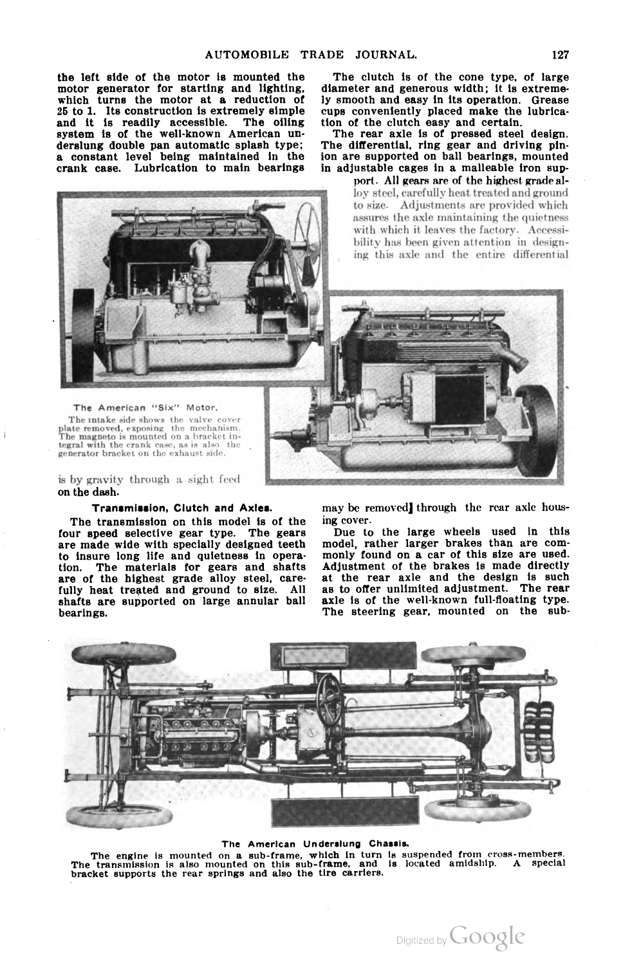the left side of the motor is mounted the motor generator for starting and lighting, which turns the motor at a reduction of 25 to 1. its construction is extremely simple and it is readily accessible. The oiling system is of the well-known American un derslung double pan automatic splash type; a constant level being maintained in the crank case. Lubrication to main bearings

The clutch is of the cone type, of large diameter and generous width; it is extreme ly smooth and easy in its operation. Grease cups conveniently placed make the lubrica tion of the clutch easy and certain.

The rear axle is of pressed steel design. The differential, ring gear and driving pinion are supported on ball bearings, mounted in adjustable cages in a malleable iron sup

> port. All gears are of the highest grade al loy steel, carefully heat treated and ground to size. Adjustments are provided which assures the axle maintaining the quietness with which it leaves the factory. Accessi bility has been given attention in design ing this axle and the entire differential



tegral with the crank case, as is also the generator bracket on the exhaust side. The American "Six" Motor. The intake side shows the valve cover<br>plate removed, exposing the mechanism.<br>The magneto is mounted on a bracket integral with the crank case, as is also

is by gravity through a sight feed on the dash.

## Transmission, Clutch and Axles.

The transmission on this model is of the four speed selective gear type. The gears are made wide with specially designed teeth to insure long life and quietness in opera tion. The materials for gears and shafts are of the highest grade alloy steel, carefully heat treated and ground to size. All shafts are supported on large annular ball bearings.

may be removed] through the rear axle hous ing cover.

I ' . 014' 1, 14' 1, 14' 1, 14' 1, 14' 1, 14' 1, 14' 1, 14' 1, 14' 1, 14' 1, 14' 1, 14' 1, 14' 1, 14' 1, 14' 1

Due to the large wheels used in this model, rather larger brakes than are com monly found on a. car of this size are used. Adjustment of the brakes is made directly at the rear axle and the design is such as to offer unlimited adjustment. The rear axle is of the well-known full-floating type. The steering gear, mounted on the sub



#### The American Underslung Chassis.

The engine is mounted on a sub-frame, which in turn is suspended from cross-members.<br>The transmission is also mounted on this sub-frame, and is located amidship. A special<br>bracket supports the rear springs and also the tir